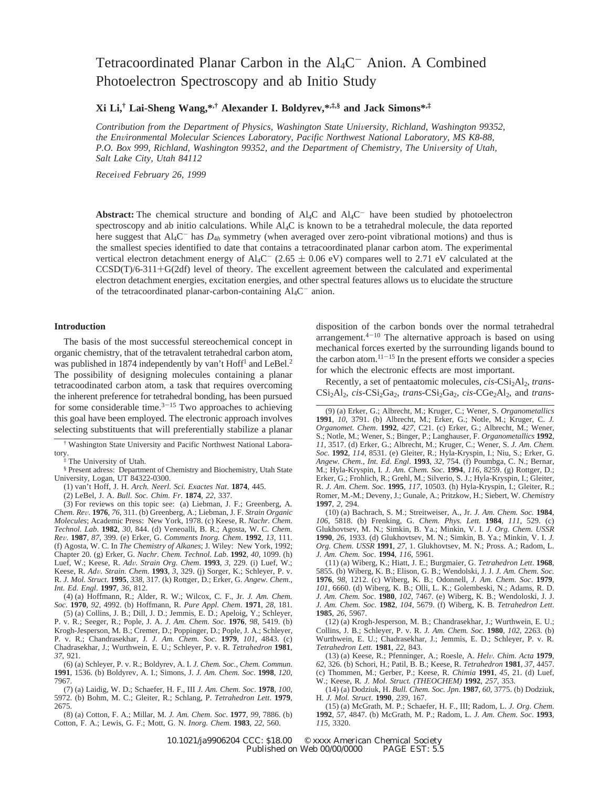# Tetracoordinated Planar Carbon in the Al<sub>4</sub>C<sup>-</sup> Anion. A Combined Photoelectron Spectroscopy and ab Initio Study

**Xi Li,† Lai-Sheng Wang,\*,† Alexander I. Boldyrev,\*,‡,§ and Jack Simons\*,‡**

*Contribution from the Department of Physics, Washington State University, Richland, Washington 99352, the En*V*ironmental Molecular Sciences Laboratory, Pacific Northwest National Laboratory, MS K8-88, P.O. Box 999, Richland, Washington 99352, and the Department of Chemistry, The University of Utah, Salt Lake City, Utah 84112*

*Recei*V*ed February 26, 1999*

**Abstract:** The chemical structure and bonding of  $\text{Al}_4\text{C}$  and  $\text{Al}_4\text{C}$  have been studied by photoelectron spectroscopy and ab initio calculations. While Al<sub>4</sub>C is known to be a tetrahedral molecule, the data reported here suggest that Al4C- has *D*<sup>4</sup>*<sup>h</sup>* symmetry (when averaged over zero-point vibrational motions) and thus is the smallest species identified to date that contains a tetracoordinated planar carbon atom. The experimental vertical electron detachment energy of Al<sub>4</sub>C<sup>-</sup> (2.65  $\pm$  0.06 eV) compares well to 2.71 eV calculated at the CCSD(T)/6-311+G(2df) level of theory. The excellent agreement between the calculated and experimental electron detachment energies, excitation energies, and other spectral features allows us to elucidate the structure of the tetracoordinated planar-carbon-containing  $Al_4C^-$  anion.

# **Introduction**

The basis of the most successful stereochemical concept in organic chemistry, that of the tetravalent tetrahedral carbon atom, was published in 1874 independently by van't Hoff<sup>1</sup> and LeBel.<sup>2</sup> The possibility of designing molecules containing a planar tetracoodinated carbon atom, a task that requires overcoming the inherent preference for tetrahedral bonding, has been pursued for some considerable time. $3-15$  Two approaches to achieving this goal have been employed. The electronic approach involves selecting substituents that will preferentially stabilize a planar

† Washington State University and Pacific Northwest National Laboratory. ‡ The University of Utah.

§ Present adress: Department of Chemistry and Biochemistry, Utah State University, Logan, UT 84322-0300.

(1) van't Hoff, J. H. *Arch. Neerl. Sci. Exactes Nat*. **1874**, 445.

(2) LeBel, J. A. *Bull. Soc. Chim. Fr*. **1874**, *22*, 337.

(3) For reviews on this topic see: (a) Liebman, J. F.; Greenberg, A. Chem. Rev. 1976, 76, 311. (b) Greenberg, A.; Liebman, J. F. *Strain Organic Chem. Re*V. **<sup>1976</sup>**, *<sup>76</sup>*, 311. (b) Greenberg, A.; Liebman, J. F. *Strain Organic Molecules*; Academic Press: New York, 1978. (c) Keese, R. *Nachr. Chem. Technol. Lab*. **1982**, *30*, 844. (d) Veneoalli, B. R.; Agosta, W. C. *Chem. Re*V. **<sup>1987</sup>**, *<sup>87</sup>*, 399. (e) Erker, G. *Comments Inorg. Chem*. **<sup>1992</sup>**, *<sup>13</sup>*, 111. (f) Agosta, W. C. In *The Chemistry of Alkanes*; J. Wiley: New York, 1992; Chapter 20. (g) Erker, G. *Nachr. Chem. Technol. Lab*. **1992**, *40*, 1099. (h) Luef, W.; Keese, R. *Ad*V*. Strain Org. Chem*. **<sup>1993</sup>**, *<sup>3</sup>*, 229. (i) Luef, W.; Keese, R*. Ad*V*. Strain. Chem*. **<sup>1993</sup>**, *<sup>3</sup>*, 329. (j) Sorger, K.; Schleyer, P. v. R. *J. Mol. Struct*. **1995**, *338*, 317. (k) Rottger, D.; Erker, G. *Angew. Chem.*, *Int. Ed. Engl*. **1997**, *36*, 812.

(4) (a) Hoffmann, R.; Alder, R. W.; Wilcox, C. F., Jr. *J. Am. Chem. Soc*. **1970**, *92*, 4992. (b) Hoffmann, R. *Pure Appl. Chem*. **1971**, *28*, 181.

(5) (a) Collins, J. B.; Dill, J. D.; Jemmis, E. D.; Apeloig, Y.; Schleyer, P. v. R.; Seeger, R.; Pople, J. A. *J. Am. Chem. Soc*. **1976**, *98*, 5419. (b) Krogh-Jesperson, M. B.; Cremer, D.; Poppinger, D.; Pople, J. A.; Schleyer, P. v. R.; Chandrasekhar, J*. J. Am. Chem. Soc*. **1979**, *101*, 4843. (c) Chadrasekhar, J.; Wurthwein, E. U.; Schleyer, P. v. R. *Tetrahedron* **1981**, *37*, 921.

(6) (a) Schleyer, P. v. R.; Boldyrev, A. I. *J. Chem. Soc.*, *Chem. Commun*. **1991**, 1536. (b) Boldyrev, A. I.; Simons, J. *J. Am. Chem. Soc*. **1998**, *120*, 7967.

(7) (a) Laidig, W. D.; Schaefer, H. F., III *J. Am. Chem. Soc*. **1978**, *100*, 5972. (b) Bohm, M. C.; Gleiter, R.; Schlang, P. *Tetrahedron Lett*. **1979**, 2675.

(8) (a) Cotton, F. A.; Millar, M. *J. Am. Chem. Soc*. **1977**, *99*, 7886. (b) Cotton, F. A.; Lewis, G. F.; Mott, G. N. *Inorg. Chem*. **1983**, *22*, 560.

disposition of the carbon bonds over the normal tetrahedral arrangement. $4-10$  The alternative approach is based on using mechanical forces exerted by the surrounding ligands bound to the carbon atom.<sup>11-15</sup> In the present efforts we consider a species for which the electronic effects are most important.

Recently, a set of pentaatomic molecules, *cis-CSi*<sub>2</sub>Al<sub>2</sub>, *trans*-CSi2Al2, *cis*-CSi2Ga2, *trans*-CSi2Ga2, *cis*-CGe2Al2, and *trans*-

(10) (a) Bachrach, S. M.; Streitweiser, A., Jr. *J. Am. Chem. Soc.* **1984**, *106*, 5818. (b) Frenking, G. *Chem. Phys. Lett.* **1984**, *111*, 529. (c) Glukhovtsev, M. N.; Simkin, B. Ya.; Minkin, V. I. *J. Org. Chem. USSR* **1990**, *26*, 1933. (d) Glukhovtsev, M. N.; Simkin, B. Ya.; Minkin, V. I. *J. Org. Chem. USSR* **1991**, *27*, 1. Glukhovtsev, M. N.; Pross. A.; Radom, L. *J. Am. Chem. Soc*. **1994**, *116*, 5961.

(11) (a) Wiberg, K.; Hiatt, J. E.; Burgmaier, G. *Tetrahedron Lett*. **1968**, 5855. (b) Wiberg, K. B.; Elison, G. B.; Wendolski, J. J. *J. Am. Chem. Soc.* **1976**, *98*, 1212. (c) Wiberg, K. B.; Odonnell, *J. Am. Chem. Soc*. **1979**, *101*, 6660. (d) Wiberg, K. B.; Olli, L. K.; Golembeski, N.; Adams, R. D. *J. Am. Chem. Soc*. **1980**, *102*, 7467. (e) Wiberg, K. B.; Wendoloski, J. J. *J. Am. Chem. Soc.* **1982**, *104*, 5679. (f) Wiberg, K. B*. Tetrahedron Lett*. **1985**, *26*, 5967.

(12) (a) Krogh-Jesperson, M. B.; Chandrasekhar, J.; Wurthwein, E. U.; Collins, J. B.; Schleyer, P. v. R. *J. Am. Chem. Soc*. **1980**, *102*, 2263. (b) Wurthwein, E. U.; Chadrasekhar, J.; Jemmis, E. D.; Schleyer, P. v. R. *Tetrahedron Lett.* **1981**, *22*, 843.

(13) (a) Keese, R.; Pfenninger, A.; Roesle, A. *Hel*V*. Chim. Acta* **<sup>1979</sup>**, *62*, 326. (b) Schori, H.; Patil, B. B.; Keese, R. *Tetrahedron* **1981**, *37*, 4457. (c) Thommen, M.; Gerber, P.; Keese, R. *Chimia* **1991**, *45*, 21. (d) Luef, W.; Keese, R*. J. Mol. Struct. (THEOCHEM)* **1992**, *257*, 353.

(14) (a) Dodziuk, H. *Bull. Chem. Soc. Jpn*. **1987**, *60*, 3775. (b) Dodziuk, H*. J. Mol. Struct*. **1990**, *239*, 167.

(15) (a) McGrath, M. P.; Schaefer, H. F., III; Radom, L. *J. Org. Chem*. **1992**, *57*, 4847. (b) McGrath, M. P.; Radom, L. *J. Am. Chem. Soc*. **1993**, *115*, 3320.

10.1021/ja9906204 CCC: \$18.00 © xxxx American Chemical Society Published on Web 00/00/0000

<sup>(9) (</sup>a) Erker, G.; Albrecht, M.; Kruger, C.; Wener, S. *Organometallics* **1991**, *10*, 3791. (b) Albrecht, M.; Erker, G.; Notle, M.; Kruger, C. *J. Organomet. Chem*. **1992**, *427*, C21. (c) Erker, G.; Albrecht, M.; Wener, S.; Notle, M.; Wener, S.; Binger, P.; Langhauser, F. *Organometallics* **1992**, *11*, 3517. (d) Erker, G.; Albrecht, M.; Kruger, C.; Wener, S. *J. Am. Chem. Soc.* **1992**, *114*, 8531. (e) Gleiter, R.; Hyla-Kryspin, I.; Niu, S.; Erker, G. *Angew. Chem.*, *Int. Ed*. *Engl*. **1993**, *32*, 754. (f) Poumbga, C. N.; Bernar, M.; Hyla-Kryspin, I*. J. Am. Chem. Soc*. **1994**, *116*, 8259. (g) Rottger, D.; Erker, G.; Frohlich, R.; Grehl, M.; Silverio, S. J.; Hyla-Kryspin, I.; Gleiter, R. *J. Am. Chem. Soc*. **1995**, *117*, 10503. (h) Hyla-Kryspin, I.; Gleiter, R.; Romer, M.-M.; Deveny, J.; Gunale, A.; Pritzkow, H.; Siebert, W. *Chemistry* **1997**, *2*, 294.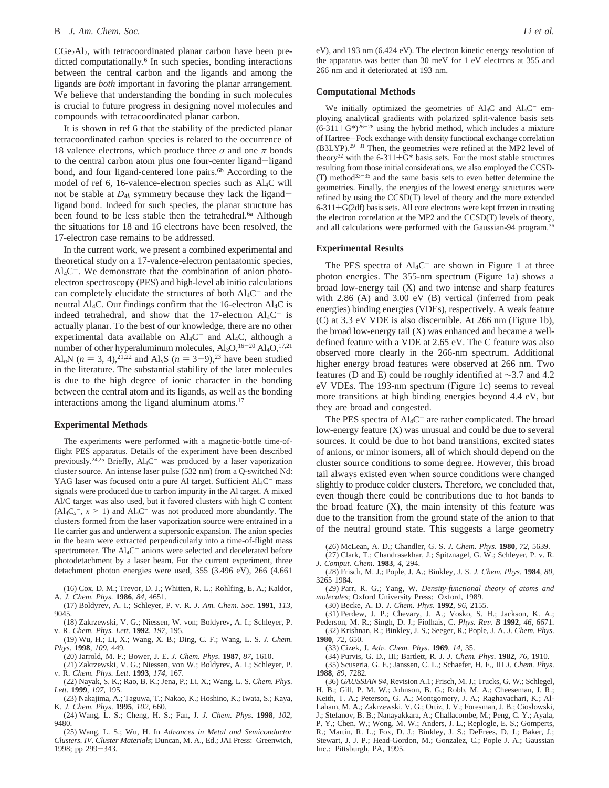CGe<sub>2</sub>Al<sub>2</sub>, with tetracoordinated planar carbon have been predicted computationally.<sup>6</sup> In such species, bonding interactions between the central carbon and the ligands and among the ligands are *both* important in favoring the planar arrangement. We believe that understanding the bonding in such molecules is crucial to future progress in designing novel molecules and compounds with tetracoordinated planar carbon.

It is shown in ref 6 that the stability of the predicted planar tetracoordinated carbon species is related to the occurrence of 18 valence electrons, which produce three  $\sigma$  and one  $\pi$  bonds to the central carbon atom plus one four-center ligand-ligand bond, and four ligand-centered lone pairs.<sup>6b</sup> According to the model of ref 6, 16-valence-electron species such as Al4C will not be stable at  $D_{4h}$  symmetry because they lack the ligandligand bond. Indeed for such species, the planar structure has been found to be less stable then the tetrahedral.<sup>6a</sup> Although the situations for 18 and 16 electrons have been resolved, the 17-electron case remains to be addressed.

In the current work, we present a combined experimental and theoretical study on a 17-valence-electron pentaatomic species,  $Al_4C^-$ . We demonstrate that the combination of anion photoelectron spectroscopy (PES) and high-level ab initio calculations can completely elucidate the structures of both  $Al_4C^-$  and the neutral Al4C. Our findings confirm that the 16-electron Al4C is indeed tetrahedral, and show that the 17-electron  $\text{Al}_4\text{C}^-$  is actually planar. To the best of our knowledge, there are no other experimental data available on  $\text{Al}_4\text{C}^-$  and  $\text{Al}_4\text{C}$ , although a number of other hyperaluminum molecules,  $Al_3O$ ,  $16-20$   $Al_4O$ ,  $17,21$ Al<sub>n</sub>N ( $n = 3, 4$ ),<sup>21,22</sup> and Al<sub>n</sub>S ( $n = 3-9$ ),<sup>23</sup> have been studied in the literature. The substantial stability of the later molecules is due to the high degree of ionic character in the bonding between the central atom and its ligands, as well as the bonding interactions among the ligand aluminum atoms.<sup>17</sup>

#### **Experimental Methods**

The experiments were performed with a magnetic-bottle time-offlight PES apparatus. Details of the experiment have been described previously.<sup>24,25</sup> Briefly, Al<sub>4</sub>C<sup>-</sup> was produced by a laser vaporization cluster source. An intense laser pulse (532 nm) from a Q-switched Nd: YAG laser was focused onto a pure Al target. Sufficient Al<sub>4</sub>C<sup>-</sup> mass signals were produced due to carbon impurity in the Al target. A mixed Al/C target was also used, but it favored clusters with high C content  $(Al_4C_x^-, x \ge 1)$  and  $Al_4C^-$  was not produced more abundantly. The clusters formed from the laser vanorization source were entrained in a clusters formed from the laser vaporization source were entrained in a He carrier gas and underwent a supersonic expansion. The anion species in the beam were extracted perpendicularly into a time-of-flight mass spectrometer. The Al<sub>4</sub>C<sup>-</sup> anions were selected and decelerated before photodetachment by a laser beam. For the current experiment, three detachment photon energies were used, 355 (3.496 eV), 266 (4.661

(25) Wang, L. S.; Wu, H. In *Ad*V*ances in Metal and Semiconductor Clusters. IV*. *Cluster Materials*; Duncan, M. A., Ed.; JAI Press: Greenwich, 1998; pp 299-343.

eV), and 193 nm (6.424 eV). The electron kinetic energy resolution of the apparatus was better than 30 meV for 1 eV electrons at 355 and 266 nm and it deteriorated at 193 nm.

# **Computational Methods**

We initially optimized the geometries of  $Al_4C$  and  $Al_4C^-$  employing analytical gradients with polarized split-valence basis sets  $(6-311+G^*)^{26-28}$  using the hybrid method, which includes a mixture of Hartree-Fock exchange with density functional exchange correlation (B3LYP).29-<sup>31</sup> Then, the geometries were refined at the MP2 level of theory<sup>32</sup> with the 6-311+ $\overline{G}^*$  basis sets. For the most stable structures resulting from those initial considerations, we also employed the CCSD-  $(T)$  method<sup>33-35</sup> and the same basis sets to even better determine the geometries. Finally, the energies of the lowest energy structures were refined by using the CCSD(T) level of theory and the more extended 6-311+G(2df) basis sets. All core electrons were kept frozen in treating the electron correlation at the MP2 and the CCSD(T) levels of theory, and all calculations were performed with the Gaussian-94 program.<sup>36</sup>

## **Experimental Results**

The PES spectra of  $\text{Al}_4\text{C}^-$  are shown in Figure 1 at three photon energies. The 355-nm spectrum (Figure 1a) shows a broad low-energy tail (X) and two intense and sharp features with 2.86 (A) and 3.00 eV (B) vertical (inferred from peak energies) binding energies (VDEs), respectively. A weak feature (C) at 3.3 eV VDE is also discernible. At 266 nm (Figure 1b), the broad low-energy tail (X) was enhanced and became a welldefined feature with a VDE at 2.65 eV. The C feature was also observed more clearly in the 266-nm spectrum. Additional higher energy broad features were observed at 266 nm. Two features (D and E) could be roughly identified at ∼3.7 and 4.2 eV VDEs. The 193-nm spectrum (Figure 1c) seems to reveal more transitions at high binding energies beyond 4.4 eV, but they are broad and congested.

The PES spectra of  $\text{Al}_4\text{C}^-$  are rather complicated. The broad low-energy feature (X) was unusual and could be due to several sources. It could be due to hot band transitions, excited states of anions, or minor isomers, all of which should depend on the cluster source conditions to some degree. However, this broad tail always existed even when source conditions were changed slightly to produce colder clusters. Therefore, we concluded that, even though there could be contributions due to hot bands to the broad feature  $(X)$ , the main intensity of this feature was due to the transition from the ground state of the anion to that of the neutral ground state. This suggests a large geometry

(31) Perdew, J. P.; Chevary, J. A.; Vosko, S. H.; Jackson, K. A.; Pederson, M. R.; Singh, D. J.; Fiolhais, C. *Phys. Re*V*. B* **<sup>1992</sup>**, *<sup>46</sup>*, 6671. (32) Krishnan, R.; Binkley, J. S.; Seeger, R.; Pople, J. A. *J. Chem. Phys*.

<sup>(16)</sup> Cox, D. M.; Trevor, D. J.; Whitten, R. L.; Rohlfing, E. A.; Kaldor, A*. J. Chem. Phys.* **1986**, *84*, 4651.

<sup>(17)</sup> Boldyrev, A. I.; Schleyer, P. v. R. *J. Am. Chem. Soc*. **1991**, *113*, 9045.

<sup>(18)</sup> Zakrzewski, V. G.; Niessen, W. von; Boldyrev, A. I.; Schleyer, P. v. R. *Chem. Phys. Lett*. **1992**, *197*, 195.

<sup>(19)</sup> Wu, H.; Li, X.; Wang, X. B.; Ding, C. F.; Wang, L. S. *J. Chem. Phys*. **1998**, *109*, 449.

<sup>(20)</sup> Jarrold, M. F.; Bower, J. E. *J. Chem. Phys*. **1987**, *87*, 1610.

<sup>(21)</sup> Zakrzewski, V. G.; Niessen, von W.; Boldyrev, A. I.; Schleyer, P. v. R. *Chem. Phys. Lett*. **1993**, *174*, 167.

<sup>(22)</sup> Nayak, S. K.; Rao, B. K.; Jena, P.; Li, X.; Wang, L. S. *Chem. Phys. Lett*. **1999**, *197*, 195.

<sup>(23)</sup> Nakajima, A.; Taguwa, T.; Nakao, K.; Hoshino, K.; Iwata, S.; Kaya, K*. J. Chem. Phys*. **1995**, *102*, 660.

<sup>(24)</sup> Wang, L. S.; Cheng, H. S.; Fan, J. *J. Chem. Phys*. **1998**, *102*, 9480.

<sup>(26)</sup> McLean, A. D.; Chandler, G. S. *J. Chem. Phys*. **1980**, *72*, 5639.

<sup>(27)</sup> Clark, T.; Chandrasekhar, J.; Spitznagel, G. W.; Schleyer, P. v. R*. J. Comput. Chem*. **1983**, *4*, 294.

<sup>(28)</sup> Frisch, M. J.; Pople, J. A.; Binkley, J. S. *J. Chem. Phys*. **1984**, *80*, 3265 1984.

<sup>(29)</sup> Parr, R. G.; Yang, W. *Density-functional theory of atoms and molecules*; Oxford University Press: Oxford, 1989.

<sup>(30)</sup> Becke, A. D. *J. Chem. Phys*. **1992**, *96*, 2155.

**<sup>1980</sup>**, *72*, 650.

<sup>(33)</sup> Cizek, J. *Ad*V*. Chem. Phys*. **<sup>1969</sup>**, *<sup>14</sup>*, 35.

<sup>(34)</sup> Purvis, G. D., III; Bartlett, R. J. *J. Chem. Phys*. **1982**, *76*, 1910. (35) Scuseria, G. E.; Janssen, C. L.; Schaefer, H. F., III *J. Chem. Phys*.

**<sup>1988</sup>**, *89*, 7282. (36) *GAUSSIAN 94*, Revision A.1; Frisch, M. J.; Trucks, G. W.; Schlegel, H. B.; Gill, P. M. W.; Johnson, B. G.; Robb, M. A.; Cheeseman, J. R.; Keith, T. A.; Peterson, G. A.; Montgomery, J. A.; Raghavachari, K.; Al-Laham, M. A.; Zakrzewski, V. G.; Ortiz, J. V.; Foresman, J. B.; Cioslowski, J.; Stefanov, B. B.; Nanayakkara, A.; Challacombe, M.; Peng, C. Y.; Ayala, P. Y.; Chen, W.; Wong, M. W.; Anders, J. L.; Replogle, E. S.; Gomperts, R.; Martin, R. L.; Fox, D. J.; Binkley, J. S.; DeFrees, D. J.; Baker, J.; Stewart, J. J. P.; Head-Gordon, M.; Gonzalez, C.; Pople J. A.; Gaussian Inc.: Pittsburgh, PA, 1995.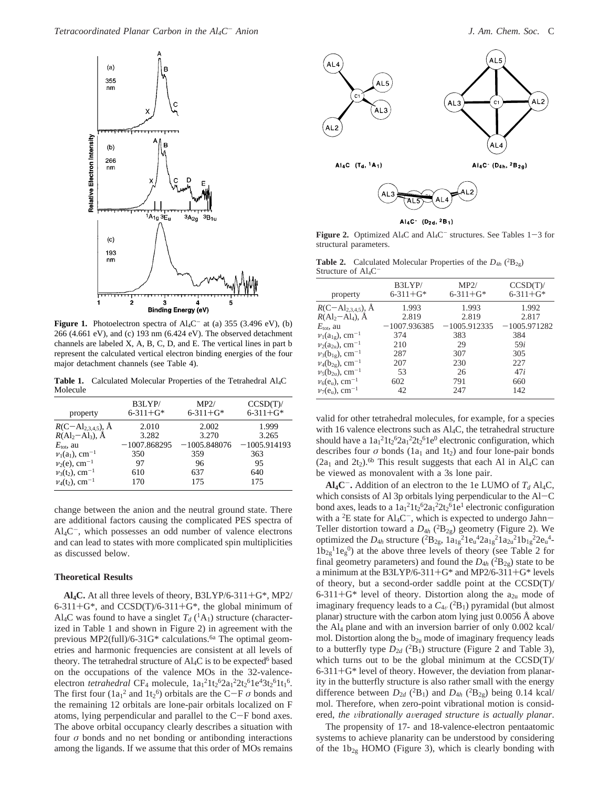

**Figure 1.** Photoelectron spectra of  $\text{Al}_4\text{C}^-$  at (a) 355 (3.496 eV), (b) 266 (4.661 eV), and (c) 193 nm (6.424 eV). The observed detachment channels are labeled X, A, B, C, D, and E. The vertical lines in part b represent the calculated vertical electron binding energies of the four major detachment channels (see Table 4).

Table 1. Calculated Molecular Properties of the Tetrahedral Al<sub>4</sub>C Molecule

| property                       | B3LYP/          | MP2/            | CCSD(T)        |
|--------------------------------|-----------------|-----------------|----------------|
|                                | $6 - 311 + G^*$ | $6 - 311 + G^*$ | $6 - 311 + G*$ |
| $R(C - Al_{2,3,4,5}), \dot{A}$ | 2.010           | 2.002           | 1.999          |
| $R(Al_2 - Al_3)$ , Å           | 3.282           | 3.270           | 3.265          |
| $E_{\text{tot}}$ , au          | $-1007.868295$  | $-1005.848076$  | $-1005.914193$ |
| $v_1(a_1)$ , cm <sup>-1</sup>  | 350             | 359             | 363            |
| $v_2(e)$ , cm <sup>-1</sup>    | 97              | 96              | 95             |
| $v_3(t_2)$ , cm <sup>-1</sup>  | 610             | 637             | 640            |
| $v_4(t_2)$ , cm <sup>-1</sup>  | 170             | 175             | 175            |

change between the anion and the neutral ground state. There are additional factors causing the complicated PES spectra of  $Al<sub>4</sub>C^-$ , which possesses an odd number of valence electrons and can lead to states with more complicated spin multiplicities as discussed below.

### **Theoretical Results**

**Al4C.** At all three levels of theory, B3LYP/6-311+G\*, MP2/  $6-311+G^*$ , and  $CCSD(T)/6-311+G^*$ , the global minimum of Al<sub>4</sub>C was found to have a singlet  $T_d$  (<sup>1</sup>A<sub>1</sub>) structure (characterized in Table 1 and shown in Figure 2) in agreement with the previous MP2(full)/6-31G\* calculations.<sup>6a</sup> The optimal geometries and harmonic frequencies are consistent at all levels of theory. The tetrahedral structure of  $\text{Al}_4\text{C}$  is to be expected<sup>6</sup> based on the occupations of the valence MOs in the 32-valenceelectron *tetrahedral* CF<sub>4</sub> molecule,  $1a_1^2 1t_2^6 2a_1^2 2t_2^6 1e^4 3t_2^6 1t_1^6$ . The first four  $(1a_1^2 \text{ and } 1t_2^6)$  orbitals are the C-F *σ* bonds and the remaining 12 orbitals are lone-pair orbitals localized on F the remaining 12 orbitals are lone-pair orbitals localized on F atoms, lying perpendicular and parallel to the C-F bond axes. The above orbital occupancy clearly describes a situation with four  $\sigma$  bonds and no net bonding or antibonding interactions among the ligands. If we assume that this order of MOs remains



 $Al_4C$  (D<sub>2d</sub>, <sup>2</sup>B<sub>1</sub>)

**Figure 2.** Optimized Al<sub>4</sub>C and Al<sub>4</sub>C<sup>-</sup> structures. See Tables  $1-3$  for structural parameters.

**Table 2.** Calculated Molecular Properties of the  $D_{4h}$  ( ${}^{2}B_{2g}$ ) Structure of ALC

| property                               | B3LYP/<br>$6 - 311 + G*$ | MP2/<br>$6 - 311 + G*$ | CCSD(T)<br>$6 - 311 + G^*$ |
|----------------------------------------|--------------------------|------------------------|----------------------------|
| $R(C - Al_{2,3,4,5}), A$               | 1.993                    | 1.993                  | 1.992                      |
| $R(\text{Al}_2 - \text{Al}_4)$ , $\AA$ | 2.819                    | 2.819                  | 2.817                      |
| $E_{\text{tot}}$ , au                  | $-1007.936385$           | $-1005.912335$         | $-1005.971282$             |
| $v_1(a_{1g})$ , cm <sup>-1</sup>       | 374                      | 383                    | 384                        |
| $v_2(a_{2u})$ , cm <sup>-1</sup>       | 210                      | 29                     | 59i                        |
| $v_3(b_{1g})$ , cm <sup>-1</sup>       | 287                      | 307                    | 305                        |
| $v_4(b_{2g})$ , cm <sup>-1</sup>       | 207                      | 230                    | 227                        |
| $v_5(b_{2u})$ , cm <sup>-1</sup>       | 53                       | 26                     | 47i                        |
| $\nu_6(e_u)$ , cm <sup>-1</sup>        | 602                      | 791                    | 660                        |
| $v_7(e_u)$ , cm <sup>-1</sup>          | 42                       | 247                    | 142                        |

valid for other tetrahedral molecules, for example, for a species with 16 valence electrons such as  $\text{Al}_4\text{C}$ , the tetrahedral structure should have a  $1a_1^21t_2^62a_1^22t_2^61e^0$  electronic configuration, which describes four  $\sigma$  bonds (1a<sub>1</sub> and 1t<sub>2</sub>) and four lone-pair bonds  $(2a<sub>1</sub>$  and  $2t<sub>2</sub>)$ .<sup>6b</sup> This result suggests that each Al in Al<sub>4</sub>C can be viewed as monovalent with a 3s lone pair.

 $\mathbf{Al}_4\mathbf{C}^-$ . Addition of an electron to the 1e LUMO of  $T_d$  Al<sub>4</sub>C, which consists of Al 3p orbitals lying perpendicular to the Al-<sup>C</sup> bond axes, leads to a  $1a_1^21t_2^62a_1^22t_2^61e^1$  electronic configuration with a <sup>2</sup>E state for Al<sub>4</sub>C<sup>-</sup>, which is expected to undergo Jahn-Teller distortion toward a  $D_{4h}$  ( ${}^{2}B_{2g}$ ) geometry (Figure 2). We optimized the  $D_{4h}$  structure  $({^{2}B_{2g}, 1a_{1g}}^{2}1e_{u}^{4}2a_{1g}^{2}1a_{2u}^{2}1b_{1g}^{2}2e_{u}^{4}$  $1b_{2g}^{11}$ eg<sup>0</sup>) at the above three levels of theory (see Table 2 for final geometry parameters) and found the  $D_{4h}$  ( ${}^{2}B_{2g}$ ) state to be a minimum at the B3LYP/6-311+G\* and MP2/6-311+G\* levels of theory, but a second-order saddle point at the CCSD(T)/ 6-311+G\* level of theory. Distortion along the  $a_{2u}$  mode of imaginary frequency leads to a  $C_{4v}$  ( ${}^{2}B_{1}$ ) pyramidal (but almost planar) structure with the carbon atom lying just 0.0056 Å above the Al4 plane and with an inversion barrier of only 0.002 kcal/ mol. Distortion along the  $b_{2u}$  mode of imaginary frequency leads to a butterfly type  $D_{2d}$  (<sup>2</sup>B<sub>1</sub>) structure (Figure 2 and Table 3), which turns out to be the global minimum at the CCSD(T)/  $6-311+G^*$  level of theory. However, the deviation from planarity in the butterfly structure is also rather small with the energy difference between  $D_{2d}$  (<sup>2</sup>B<sub>1</sub>) and  $D_{4h}$  (<sup>2</sup>B<sub>2g</sub>) being 0.14 kcal/ mol. Therefore, when zero-point vibrational motion is considered, the vibrationally averaged structure is actually planar.

The propensity of 17- and 18-valence-electron pentaatomic systems to achieve planarity can be understood by considering of the  $1b_{2g}$  HOMO (Figure 3), which is clearly bonding with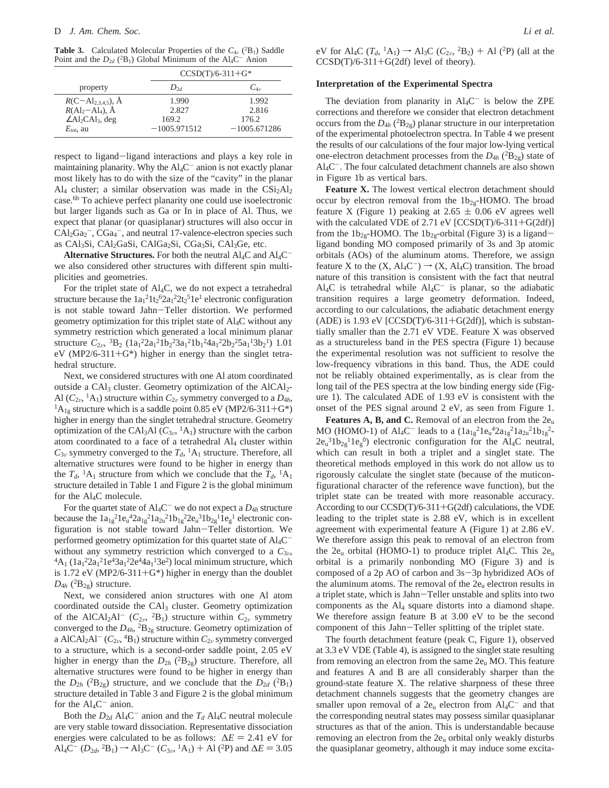**Table 3.** Calculated Molecular Properties of the  $C_{4v}$  ( ${}^{2}B_{1}$ ) Saddle Boint and the *D*<sub>1</sub> ( ${}^{2}B$ ) Global Minimum of the *A*1 C<sup>-</sup> Anion Point and the  $D_{2d}$  (<sup>2</sup>B<sub>1</sub>) Global Minimum of the Al<sub>4</sub>C<sup>-</sup> Anion

|                                                 |                | $CCSD(T)/6-311+G*$ |  |  |
|-------------------------------------------------|----------------|--------------------|--|--|
| property                                        | Dəd            | $C_{4n}$           |  |  |
| $R(C-Al_{2,3,4,5}),$ Å<br>$R(Al_2-Al_4),$ Å     | 1.990          | 1.992              |  |  |
|                                                 | 2.827          | 2.816              |  |  |
| $\angle$ Al <sub>2</sub> CAl <sub>3</sub> , deg | 169.2          | 176.2              |  |  |
| $E_{\text{tot}}$ , au                           | $-1005.971512$ | $-1005.671286$     |  |  |

respect to ligand-ligand interactions and plays a key role in maintaining planarity. Why the  $Al_4C^-$  anion is not exactly planar most likely has to do with the size of the "cavity" in the planar Al<sub>4</sub> cluster; a similar observation was made in the  $CSi<sub>2</sub>Al<sub>2</sub>$ case.<sup>6b</sup> To achieve perfect planarity one could use isoelectronic but larger ligands such as Ga or In in place of Al. Thus, we expect that planar (or quasiplanar) structures will also occur in  $CAI_2Ga_2^-$ ,  $CGa_4^-$ , and neutral 17-valence-electron species such as CAl<sub>3</sub>Si, CAl<sub>2</sub>GaSi, CAlGa<sub>2</sub>Si, CGa<sub>3</sub>Si, CAl<sub>3</sub>Ge, etc.

**Alternative Structures.** For both the neutral  $\text{Al}_4\text{C}$  and  $\text{Al}_4\text{C}^$ we also considered other structures with different spin multiplicities and geometries.

For the triplet state of Al4C, we do not expect a tetrahedral structure because the  $1a_1^21t_2^62a_1^22t_2^51e^1$  electronic configuration is not stable toward Jahn-Teller distortion. We performed geometry optimization for this triplet state of Al4C without any symmetry restriction which generated a local minimum planar structure  $C_{2\nu}$ ,  ${}^{3}B_{2}$   $(1a_{1}^{2}2a_{1}^{2}1b_{2}^{2}3a_{1}^{2}1b_{1}^{2}4a_{1}^{2}2b_{2}^{2}5a_{1}^{1}3b_{2}^{1})$  1.01  $eV$  (MP2/6-311+G<sup>\*</sup>) higher in energy than the singlet tetrahedral structure.

Next, we considered structures with one Al atom coordinated outside a CAl<sub>3</sub> cluster. Geometry optimization of the AlCAl<sub>2</sub>-Al  $(C_{2\nu}, {}^{1}A_{1})$  structure within  $C_{2\nu}$  symmetry converged to a  $D_{4h}$ ,  ${}^{1}A_{1g}$  structure which is a saddle point 0.85 eV (MP2/6-311+G\*) higher in energy than the singlet tetrahedral structure. Geometry optimization of the CAl<sub>3</sub>Al  $(C_{3v}, {}^{1}A_{1})$  structure with the carbon atom coordinated to a face of a tetrahedral Al4 cluster within  $C_{3v}$  symmetry converged to the  $T_d$ , <sup>1</sup>A<sub>1</sub> structure. Therefore, all alternative structures were found to be higher in energy than the  $T_d$ , <sup>1</sup>A<sub>1</sub> structure from which we conclude that the  $T_d$ , <sup>1</sup>A<sub>1</sub> structure detailed in Table 1 and Figure 2 is the global minimum for the  $\text{Al}_4\text{C}$  molecule.

For the quartet state of  $\text{Al}_4\text{C}^-$  we do not expect a  $D_{4h}$  structure because the  $1a_{1g}^2 1e_u^4 2a_{1g}^2 1a_{2u}^2 1b_{1g}^2 2e_u^3 1b_{2g}^1 1e_g^1$  electronic configuration is not stable toward Jahn-Teller distortion. We performed geometry optimization for this quartet state of  $Al_4C^-$ <br>without any symmetry restriction which converged to a  $C_{3v}$ , without any symmetry restriction which converged to a  $C_{3\nu}$ ,  ${}^{4}A_{1}$   $(1a_{1}^{2}2a_{1}^{2}1e^{4}3a_{1}^{2}2e^{4}4a_{1}^{1}3e^{2})$  local minimum structure, which is 1.72 eV (MP2/6-311+G\*) higher in energy than the doublet  $D_{4h}$  (<sup>2</sup>B<sub>2g</sub>) structure.

Next, we considered anion structures with one Al atom coordinated outside the CAl<sub>3</sub> cluster. Geometry optimization of the AlCAl<sub>2</sub>Al<sup>-</sup> ( $C_{2v}$ , <sup>2</sup>B<sub>1</sub>) structure within  $C_{2v}$  symmetry converged to the  $D_{4h}$ , <sup>2</sup> $B_{2g}$  structure. Geometry optimization of a AlCAl<sub>2</sub>Al<sup>-</sup> ( $C_{2v}$ , <sup>4</sup>B<sub>1</sub>) structure within  $C_{2v}$  symmetry converged to a structure, which is a second-order saddle point, 2.05 eV higher in energy than the  $D_{2h}$  ( ${}^{2}B_{2g}$ ) structure. Therefore, all alternative structures were found to be higher in energy than the  $D_{2h}$  (<sup>2</sup>B<sub>2g</sub>) structure, and we conclude that the  $D_{2d}$  (<sup>2</sup>B<sub>1</sub>) structure detailed in Table 3 and Figure 2 is the global minimum for the  $Al_4C^-$  anion.

Both the  $D_{2d}$  Al<sub>4</sub>C<sup>-</sup> anion and the  $T_d$  Al<sub>4</sub>C neutral molecule are very stable toward dissociation. Representative dissociation energies were calculated to be as follows:  $\Delta E = 2.41$  eV for  $\text{Al}_4\text{C}^-$  (*D*<sub>2*d*</sub>, <sup>2</sup>B<sub>1</sub>) → Al<sub>3</sub>C<sup>-</sup> (*C*<sub>3*v*</sub>, <sup>1</sup>A<sub>1</sub>) + Al (<sup>2</sup>P) and ∆*E* = 3.05

eV for Al<sub>4</sub>C ( $T_d$ , <sup>1</sup>A<sub>1</sub>)  $\rightarrow$  Al<sub>3</sub>C ( $C_{2v}$ , <sup>2</sup>B<sub>2</sub>) + Al (<sup>2</sup>P) (all at the  $CCSD(T)/6-311+G(2df)$  level of theory).

#### **Interpretation of the Experimental Spectra**

The deviation from planarity in  $Al_4C^-$  is below the ZPE corrections and therefore we consider that electron detachment occurs from the  $D_{4h}$  ( ${}^{2}B_{2g}$ ) planar structure in our interpretation of the experimental photoelectron spectra. In Table 4 we present the results of our calculations of the four major low-lying vertical one-electron detachment processes from the  $D_{4h}$  ( ${}^{2}B_{2g}$ ) state of  $Al_4C^-$ . The four calculated detachment channels are also shown in Figure 1b as vertical bars.

**Feature X.** The lowest vertical electron detachment should occur by electron removal from the  $1b_{2g}$ -HOMO. The broad feature X (Figure 1) peaking at 2.65  $\pm$  0.06 eV agrees well with the calculated VDE of 2.71 eV  $[CCSD(T)/6-311+G(2df)]$ from the  $1b_{2g}$ -HOMO. The  $1b_{2g}$ -orbital (Figure 3) is a ligandligand bonding MO composed primarily of 3s and 3p atomic orbitals (AOs) of the aluminum atoms. Therefore, we assign feature X to the  $(X, Al_4C^-) \rightarrow (X, Al_4C)$  transition. The broad nature of this transition is consistent with the fact that neutral Al<sub>4</sub>C is tetrahedral while  $Al_4C^-$  is planar, so the adiabatic transition requires a large geometry deformation. Indeed, according to our calculations, the adiabatic detachment energy (ADE) is 1.93 eV  $[CCSD(T)/6-311+G(2df)]$ , which is substantially smaller than the 2.71 eV VDE. Feature X was observed as a structureless band in the PES spectra (Figure 1) because the experimental resolution was not sufficient to resolve the low-frequency vibrations in this band. Thus, the ADE could not be reliably obtained experimentally, as is clear from the long tail of the PES spectra at the low binding energy side (Figure 1). The calculated ADE of 1.93 eV is consistent with the onset of the PES signal around 2 eV, as seen from Figure 1.

Features A, B, and C. Removal of an electron from the 2e<sub>u</sub> MO (HOMO-1) of Al<sub>4</sub>C<sup>-</sup> leads to a  $(1a_{1g}^{2}1e_{u}^{4}2a_{1g}^{2}1a_{2u}^{2}1b_{1g}^{2}$ - $2e_u^3 1b_{2g}^1 1e_g^0$ ) electronic configuration for the Al<sub>4</sub>C neutral, which can result in both a triplet and a singlet state. The theoretical methods employed in this work do not allow us to rigorously calculate the singlet state (because of the muticonfigurational character of the reference wave function), but the triplet state can be treated with more reasonable accuracy. According to our CCSD(T)/6-311+G(2df) calculations, the VDE leading to the triplet state is 2.88 eV, which is in excellent agreement with experimental feature A (Figure 1) at 2.86 eV. We therefore assign this peak to removal of an electron from the  $2e_u$  orbital (HOMO-1) to produce triplet Al<sub>4</sub>C. This  $2e_u$ orbital is a primarily nonbonding MO (Figure 3) and is composed of a 2p AO of carbon and 3s-3p hybridized AOs of the aluminum atoms. The removal of the  $2e<sub>u</sub>$  electron results in a triplet state, which is Jahn-Teller unstable and splits into two components as the  $Al<sub>4</sub>$  square distorts into a diamond shape. We therefore assign feature B at 3.00 eV to be the second component of this Jahn-Teller splitting of the triplet state.

The fourth detachment feature (peak C, Figure 1), observed at 3.3 eV VDE (Table 4), is assigned to the singlet state resulting from removing an electron from the same  $2e_u$  MO. This feature and features A and B are all considerably sharper than the ground-state feature X. The relative sharpness of these three detachment channels suggests that the geometry changes are smaller upon removal of a  $2e_u$  electron from  $Al_4C^-$  and that the corresponding neutral states may possess similar quasiplanar structures as that of the anion. This is understandable because removing an electron from the  $2e<sub>u</sub>$  orbital only weakly disturbs the quasiplanar geometry, although it may induce some excita-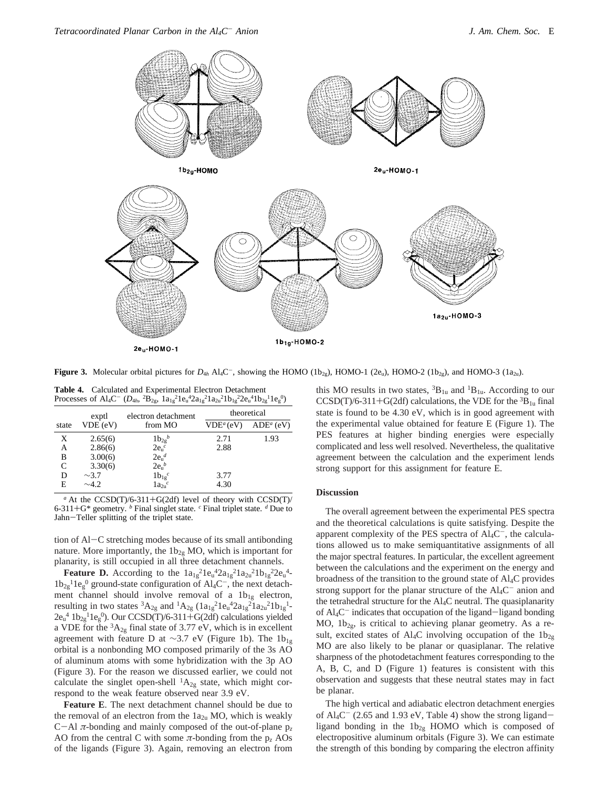

**Figure 3.** Molecular orbital pictures for  $D_{4h}$  Al<sub>4</sub>C<sup>-</sup>, showing the HOMO (1b<sub>2g</sub>), HOMO-1 (2e<sub>u</sub>), HOMO-2 (1b<sub>2g</sub>), and HOMO-3 (1a<sub>2u</sub>).

**Table 4.** Calculated and Experimental Electron Detachment Processes of Al<sub>4</sub>C<sup>-</sup> ( $D_{4h}$ ,  ${}^{2}B_{2g}$ ,  $1a_{1g} {}^{2}1e_{u} {}^{4}2a_{1g} {}^{2}1a_{2u} {}^{2}1b_{1g} {}^{2}2e_{u} {}^{4}1b_{2g} {}^{1}1e_{g} {}^{0}$ )

|       | exptl      | electron detachment    | theoretical           |             |
|-------|------------|------------------------|-----------------------|-------------|
| state | VDE (eV)   | from MO                | VDE <sup>a</sup> (eV) | $ADEa$ (eV) |
| X     | 2.65(6)    | $1b_{2g}^b$            | 2.71                  | 1.93        |
| А     | 2.86(6)    | $2e_0^c$               | 2.88                  |             |
| в     | 3.00(6)    | $2e_n^d$               |                       |             |
|       | 3.30(6)    | $2e_n^b$               |                       |             |
| D     | $\sim$ 3.7 | $1b_{1g}$ <sup>c</sup> | 3.77                  |             |
| E     | $\sim$ 4.2 | $1a_{2n}c$             | 4.30                  |             |

*<sup>a</sup>* At the CCSD(T)/6-311+G(2df) level of theory with CCSD(T)/ 6-311+G\* geometry. *<sup>b</sup>* Final singlet state. *<sup>c</sup>* Final triplet state. *<sup>d</sup>* Due to Jahn-Teller splitting of the triplet state.

tion of Al-C stretching modes because of its small antibonding nature. More importantly, the  $1b_{2g}$  MO, which is important for planarity, is still occupied in all three detachment channels.

**Feature D.** According to the  $1a_{1g}^2 1e_u^4 2a_{1g}^2 1a_{2u}^2 1b_{1g}^2 2e_u^4$  $1b_{2g}$ <sup>1</sup> $1e_g$ <sup>0</sup> ground-state configuration of Al<sub>4</sub>C<sup>-</sup>, the next detachment channel should involve removal of a  $1b_{1g}$  electron, resulting in two states  ${}^{3}A_{2g}$  and  ${}^{1}A_{2g}$  ( $1a_{1g}{}^{2}1e_{u}{}^{4}2a_{1g}{}^{2}1a_{2u}{}^{2}1b_{1g}{}^{1}$  $2e_u^4$   $1b_{2g}^11e_g^0$ . Our CCSD(T)/6-311+G(2df) calculations yielded<br>a VDE for the <sup>3</sup>A<sub>2</sub> final state of 3.77 eV which is in excellent a VDE for the  ${}^{3}A_{2g}$  final state of 3.77 eV, which is in excellent agreement with feature D at ~3.7 eV (Figure 1b). The  $1b_{1g}$ orbital is a nonbonding MO composed primarily of the 3s AO of aluminum atoms with some hybridization with the 3p AO (Figure 3). For the reason we discussed earlier, we could not calculate the singlet open-shell  ${}^{1}A_{2g}$  state, which might correspond to the weak feature observed near 3.9 eV.

**Feature E**. The next detachment channel should be due to the removal of an electron from the  $1a_{2u}$  MO, which is weakly <sup>C</sup>-Al *<sup>π</sup>*-bonding and mainly composed of the out-of-plane p*<sup>z</sup>* AO from the central C with some  $\pi$ -bonding from the  $p_{\tau}$  AOs of the ligands (Figure 3). Again, removing an electron from this MO results in two states,  ${}^{3}B_{1u}$  and  ${}^{1}B_{1u}$ . According to our  $CCSD(T)/6-311+G(2df)$  calculations, the VDE for the  ${}^{3}B_{1u}$  final state is found to be 4.30 eV, which is in good agreement with the experimental value obtained for feature E (Figure 1). The PES features at higher binding energies were especially complicated and less well resolved. Nevertheless, the qualitative agreement between the calculation and the experiment lends strong support for this assignment for feature E.

# **Discussion**

The overall agreement between the experimental PES spectra and the theoretical calculations is quite satisfying. Despite the apparent complexity of the PES spectra of  $Al_4C^-$ , the calculations allowed us to make semiquantitative assignments of all the major spectral features. In particular, the excellent agreement between the calculations and the experiment on the energy and broadness of the transition to the ground state of Al4C provides strong support for the planar structure of the  $Al_4C^-$  anion and the tetrahedral structure for the Al4C neutral. The quasiplanarity of Al<sub>4</sub>C<sup>-</sup> indicates that occupation of the ligand-ligand bonding MO,  $1b_{2g}$ , is critical to achieving planar geometry. As a result, excited states of Al<sub>4</sub>C involving occupation of the  $1b_{2g}$ MO are also likely to be planar or quasiplanar. The relative sharpness of the photodetachment features corresponding to the A, B, C, and D (Figure 1) features is consistent with this observation and suggests that these neutral states may in fact be planar.

The high vertical and adiabatic electron detachment energies of  $\text{Al}_4\text{C}^-$  (2.65 and 1.93 eV, Table 4) show the strong ligandligand bonding in the  $1b_{2g}$  HOMO which is composed of electropositive aluminum orbitals (Figure 3). We can estimate the strength of this bonding by comparing the electron affinity